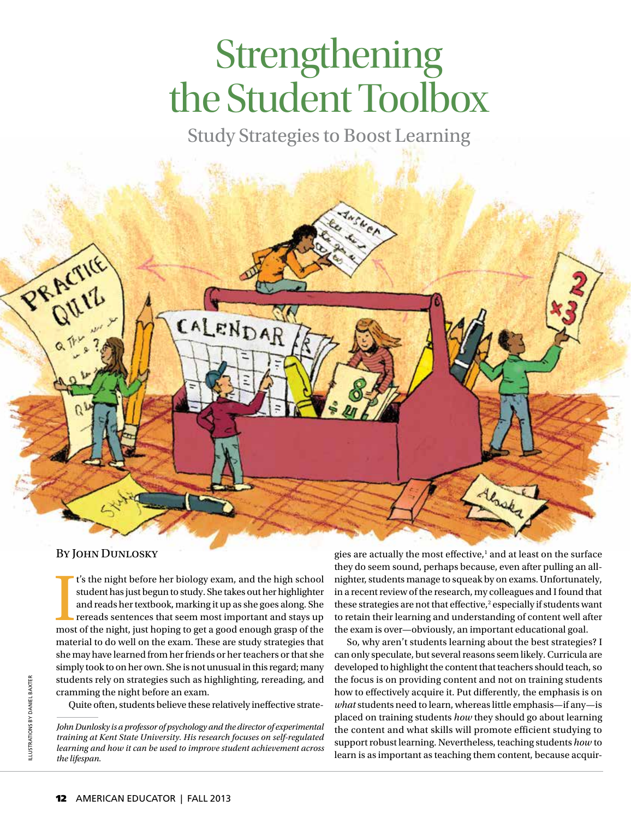# Strengthening the Student Toolbox

Study Strategies to Boost Learning



#### BY JOHN DUNLOSKY

I's the night before her biology exam, and the high school student has just begun to study. She takes out her highlighter and reads her textbook, marking it up as she goes along. She rereads sentences that seem most import t's the night before her biology exam, and the high school student has just begun to study. She takes out her highlighter and reads her textbook, marking it up as she goes along. She rereads sentences that seem most important and stays up material to do well on the exam. These are study strategies that she may have learned from her friends or her teachers or that she simply took to on her own. She is not unusual in this regard; many students rely on strategies such as highlighting, rereading, and cramming the night before an exam.

Quite often, students believe these relatively ineffective strate-

gies are actually the most effective,<sup>1</sup> and at least on the surface they do seem sound, perhaps because, even after pulling an allnighter, students manage to squeak by on exams. Unfortunately, in a recent review of the research, my colleagues and I found that these strategies are not that effective,<sup>2</sup> especially if students want to retain their learning and understanding of content well after the exam is over—obviously, an important educational goal.

So, why aren't students learning about the best strategies? I can only speculate, but several reasons seem likely. Curricula are developed to highlight the content that teachers should teach, so the focus is on providing content and not on training students how to effectively acquire it. Put differently, the emphasis is on *what* students need to learn, whereas little emphasis—if any—is placed on training students *how* they should go about learning the content and what skills will promote efficient studying to support robust learning. Nevertheless, teaching students *how* to learn is as important as teaching them content, because acquir-

*John Dunlosky is a professor of psychology and the director of experimental training at Kent State University. His research focuses on self-regulated learning and how it can be used to improve student achievement across the lifespan.*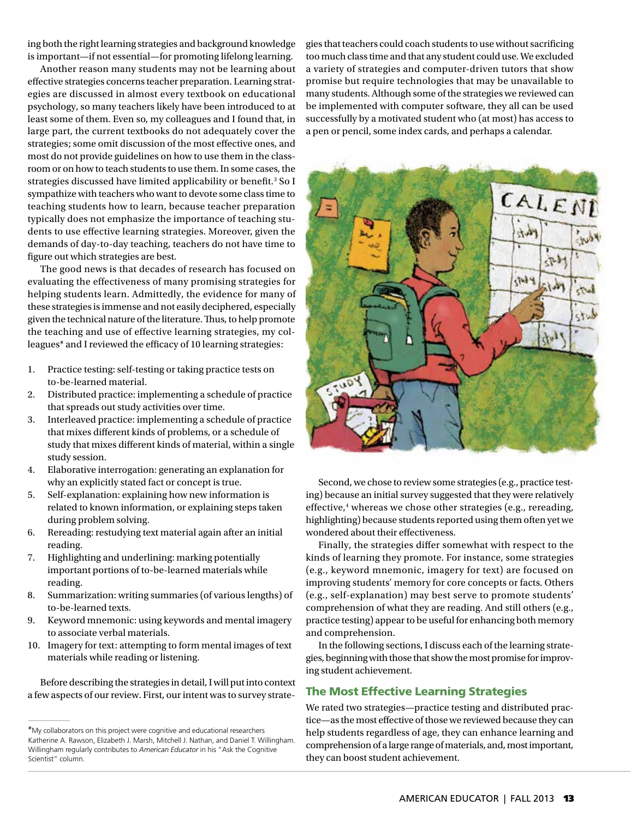ing both the right learning strategies and background knowledge is important—if not essential—for promoting lifelong learning.

Another reason many students may not be learning about effective strategies concerns teacher preparation. Learning strategies are discussed in almost every textbook on educational psychology, so many teachers likely have been introduced to at least some of them. Even so, my colleagues and I found that, in large part, the current textbooks do not adequately cover the strategies; some omit discussion of the most effective ones, and most do not provide guidelines on how to use them in the classroom or on how to teach students to use them. In some cases, the strategies discussed have limited applicability or benefit.<sup>3</sup> So I sympathize with teachers who want to devote some class time to teaching students how to learn, because teacher preparation typically does not emphasize the importance of teaching students to use effective learning strategies. Moreover, given the demands of day-to-day teaching, teachers do not have time to figure out which strategies are best.

The good news is that decades of research has focused on evaluating the effectiveness of many promising strategies for helping students learn. Admittedly, the evidence for many of these strategies is immense and not easily deciphered, especially given the technical nature of the literature. Thus, to help promote the teaching and use of effective learning strategies, my colleagues\* and I reviewed the efficacy of 10 learning strategies:

- 1. Practice testing: self-testing or taking practice tests on to-be-learned material.
- 2. Distributed practice: implementing a schedule of practice that spreads out study activities over time.
- 3. Interleaved practice: implementing a schedule of practice that mixes different kinds of problems, or a schedule of study that mixes different kinds of material, within a single study session.
- 4. Elaborative interrogation: generating an explanation for why an explicitly stated fact or concept is true.
- 5. Self-explanation: explaining how new information is related to known information, or explaining steps taken during problem solving.
- 6. Rereading: restudying text material again after an initial reading.
- 7. Highlighting and underlining: marking potentially important portions of to-be-learned materials while reading.
- 8. Summarization: writing summaries (of various lengths) of to-be-learned texts.
- 9. Keyword mnemonic: using keywords and mental imagery to associate verbal materials.
- 10. Imagery for text: attempting to form mental images of text materials while reading or listening.

Before describing the strategies in detail, I will put into context a few aspects of our review. First, our intent was to survey strategies that teachers could coach students to use without sacrificing too much class time and that any student could use. We excluded a variety of strategies and computer-driven tutors that show promise but require technologies that may be unavailable to many students. Although some of the strategies we reviewed can be implemented with computer software, they all can be used successfully by a motivated student who (at most) has access to a pen or pencil, some index cards, and perhaps a calendar.



Second, we chose to review some strategies (e.g., practice testing) because an initial survey suggested that they were relatively effective,<sup>4</sup> whereas we chose other strategies (e.g., rereading, highlighting) because students reported using them often yet we wondered about their effectiveness.

Finally, the strategies differ somewhat with respect to the kinds of learning they promote. For instance, some strategies (e.g., keyword mnemonic, imagery for text) are focused on improving students' memory for core concepts or facts. Others (e.g., self-explanation) may best serve to promote students' comprehension of what they are reading. And still others (e.g., practice testing) appear to be useful for enhancing both memory and comprehension.

In the following sections, I discuss each of the learning strategies, beginning with those that show the most promise for improving student achievement.

## The Most Effective Learning Strategies

We rated two strategies—practice testing and distributed practice—as the most effective of those we reviewed because they can help students regardless of age, they can enhance learning and comprehension of a large range of materials, and, most important, they can boost student achievement.

<sup>\*</sup>My collaborators on this project were cognitive and educational researchers Katherine A. Rawson, Elizabeth J. Marsh, Mitchell J. Nathan, and Daniel T. Willingham. Willingham regularly contributes to *American Educator* in his "Ask the Cognitive Scientist" column.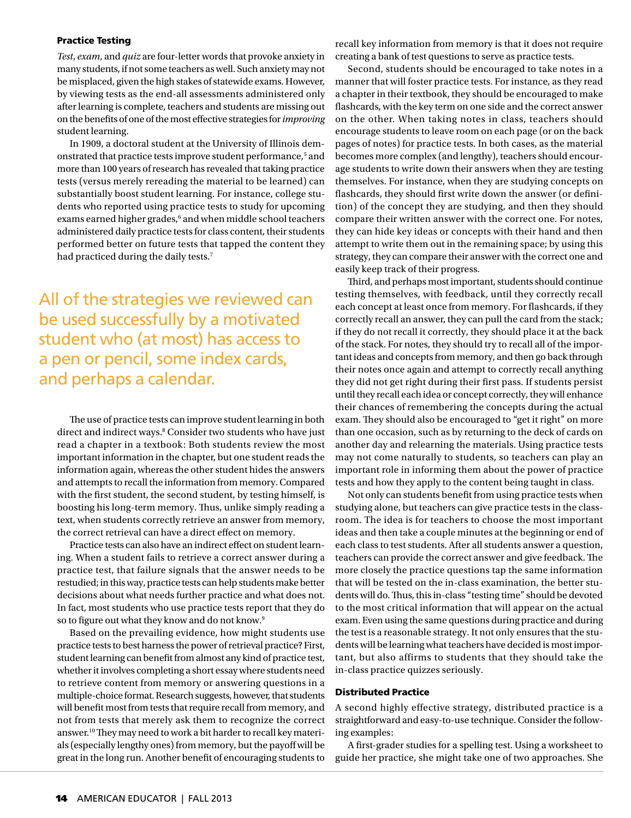#### Practice Testing

*Test*, *exam*, and *quiz* are four-letter words that provoke anxiety in many students, if not some teachers as well. Such anxiety may not be misplaced, given the high stakes of statewide exams. However, by viewing tests as the end-all assessments administered only after learning is complete, teachers and students are missing out on the benefits of one of the most effective strategies for *improving* student learning.

In 1909, a doctoral student at the University of Illinois demonstrated that practice tests improve student performance,<sup>5</sup> and more than 100 years of research has revealed that taking practice tests (versus merely rereading the material to be learned) can substantially boost student learning. For instance, college students who reported using practice tests to study for upcoming exams earned higher grades,<sup>6</sup> and when middle school teachers administered daily practice tests for class content, their students performed better on future tests that tapped the content they had practiced during the daily tests.<sup>7</sup>

All of the strategies we reviewed can be used successfully by a motivated student who (at most) has access to a pen or pencil, some index cards, and perhaps a calendar.

The use of practice tests can improve student learning in both direct and indirect ways.<sup>8</sup> Consider two students who have just read a chapter in a textbook: Both students review the most important information in the chapter, but one student reads the information again, whereas the other student hides the answers and attempts to recall the information from memory. Compared with the first student, the second student, by testing himself, is boosting his long-term memory. Thus, unlike simply reading a text, when students correctly retrieve an answer from memory, the correct retrieval can have a direct effect on memory.

Practice tests can also have an indirect effect on student learning. When a student fails to retrieve a correct answer during a practice test, that failure signals that the answer needs to be restudied; in this way, practice tests can help students make better decisions about what needs further practice and what does not. In fact, most students who use practice tests report that they do so to figure out what they know and do not know.<sup>9</sup>

Based on the prevailing evidence, how might students use practice tests to best harness the power of retrieval practice? First, student learning can benefit from almost any kind of practice test, whether it involves completing a short essay where students need to retrieve content from memory or answering questions in a multiple-choice format. Research suggests, however, that students will benefit most from tests that require recall from memory, and not from tests that merely ask them to recognize the correct answer.10 They may need to work a bit harder to recall key materials (especially lengthy ones) from memory, but the payoff will be great in the long run. Another benefit of encouraging students to recall key information from memory is that it does not require creating a bank of test questions to serve as practice tests.

Second, students should be encouraged to take notes in a manner that will foster practice tests. For instance, as they read a chapter in their textbook, they should be encouraged to make flashcards, with the key term on one side and the correct answer on the other. When taking notes in class, teachers should encourage students to leave room on each page (or on the back pages of notes) for practice tests. In both cases, as the material becomes more complex (and lengthy), teachers should encourage students to write down their answers when they are testing themselves. For instance, when they are studying concepts on flashcards, they should first write down the answer (or definition) of the concept they are studying, and then they should compare their written answer with the correct one. For notes, they can hide key ideas or concepts with their hand and then attempt to write them out in the remaining space; by using this strategy, they can compare their answer with the correct one and easily keep track of their progress.

Third, and perhaps most important, students should continue testing themselves, with feedback, until they correctly recall each concept at least once from memory. For flashcards, if they correctly recall an answer, they can pull the card from the stack; if they do not recall it correctly, they should place it at the back of the stack. For notes, they should try to recall all of the important ideas and concepts from memory, and then go back through their notes once again and attempt to correctly recall anything they did not get right during their first pass. If students persist until they recall each idea or concept correctly, they will enhance their chances of remembering the concepts during the actual exam. They should also be encouraged to "get it right" on more than one occasion, such as by returning to the deck of cards on another day and relearning the materials. Using practice tests may not come naturally to students, so teachers can play an important role in informing them about the power of practice tests and how they apply to the content being taught in class.

Not only can students benefit from using practice tests when studying alone, but teachers can give practice tests in the classroom. The idea is for teachers to choose the most important ideas and then take a couple minutes at the beginning or end of each class to test students. After all students answer a question, teachers can provide the correct answer and give feedback. The more closely the practice questions tap the same information that will be tested on the in-class examination, the better students will do. Thus, this in-class "testing time" should be devoted to the most critical information that will appear on the actual exam. Even using the same questions during practice and during the test is a reasonable strategy. It not only ensures that the students will be learning what teachers have decided is most important, but also affirms to students that they should take the in-class practice quizzes seriously.

#### Distributed Practice

A second highly effective strategy, distributed practice is a straightforward and easy-to-use technique. Consider the following examples:

A first-grader studies for a spelling test. Using a worksheet to guide her practice, she might take one of two approaches. She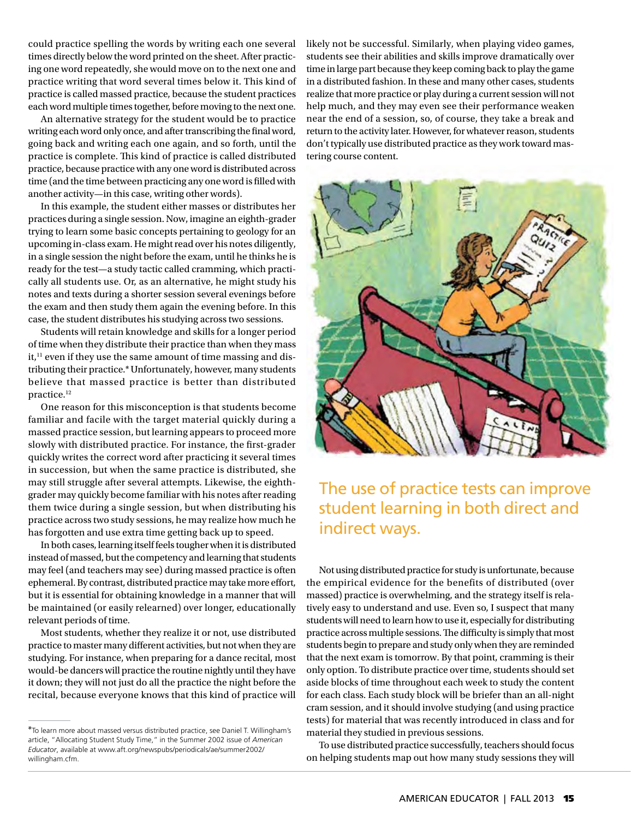could practice spelling the words by writing each one several times directly below the word printed on the sheet. After practicing one word repeatedly, she would move on to the next one and practice writing that word several times below it. This kind of practice is called massed practice, because the student practices each word multiple times together, before moving to the next one.

An alternative strategy for the student would be to practice writing each word only once, and after transcribing the final word, going back and writing each one again, and so forth, until the practice is complete. This kind of practice is called distributed practice, because practice with any one word is distributed across time (and the time between practicing any one word is filled with another activity—in this case, writing other words).

In this example, the student either masses or distributes her practices during a single session. Now, imagine an eighth-grader trying to learn some basic concepts pertaining to geology for an upcoming in-class exam. He might read over his notes diligently, in a single session the night before the exam, until he thinks he is ready for the test—a study tactic called cramming, which practically all students use. Or, as an alternative, he might study his notes and texts during a shorter session several evenings before the exam and then study them again the evening before. In this case, the student distributes his studying across two sessions.

Students will retain knowledge and skills for a longer period of time when they distribute their practice than when they mass  $it,$ <sup>11</sup> even if they use the same amount of time massing and distributing their practice.\* Unfortunately, however, many students believe that massed practice is better than distributed practice.12

One reason for this misconception is that students become familiar and facile with the target material quickly during a massed practice session, but learning appears to proceed more slowly with distributed practice. For instance, the first-grader quickly writes the correct word after practicing it several times in succession, but when the same practice is distributed, she may still struggle after several attempts. Likewise, the eighthgrader may quickly become familiar with his notes after reading them twice during a single session, but when distributing his practice across two study sessions, he may realize how much he has forgotten and use extra time getting back up to speed.

In both cases, learning itself feels tougher when it is distributed instead of massed, but the competency and learning that students may feel (and teachers may see) during massed practice is often ephemeral. By contrast, distributed practice may take more effort, but it is essential for obtaining knowledge in a manner that will be maintained (or easily relearned) over longer, educationally relevant periods of time.

Most students, whether they realize it or not, use distributed practice to master many different activities, but not when they are studying. For instance, when preparing for a dance recital, most would-be dancers will practice the routine nightly until they have it down; they will not just do all the practice the night before the recital, because everyone knows that this kind of practice will likely not be successful. Similarly, when playing video games, students see their abilities and skills improve dramatically over time in large part because they keep coming back to play the game in a distributed fashion. In these and many other cases, students realize that more practice or play during a current session will not help much, and they may even see their performance weaken near the end of a session, so, of course, they take a break and return to the activity later. However, for whatever reason, students don't typically use distributed practice as they work toward mastering course content.



# The use of practice tests can improve student learning in both direct and indirect ways.

Not using distributed practice for study is unfortunate, because the empirical evidence for the benefits of distributed (over massed) practice is overwhelming, and the strategy itself is relatively easy to understand and use. Even so, I suspect that many students will need to learn how to use it, especially for distributing practice across multiple sessions. The difficulty is simply that most students begin to prepare and study only when they are reminded that the next exam is tomorrow. By that point, cramming is their only option. To distribute practice over time, students should set aside blocks of time throughout each week to study the content for each class. Each study block will be briefer than an all-night cram session, and it should involve studying (and using practice tests) for material that was recently introduced in class and for material they studied in previous sessions.

To use distributed practice successfully, teachers should focus on helping students map out how many study sessions they will

<sup>\*</sup>To learn more about massed versus distributed practice, see Daniel T. Willingham's article, "Allocating Student Study Time," in the Summer 2002 issue of *American Educator*[, available at www.aft.org/newspubs/periodicals/ae/summer2002/](www.aft.org/newspubs/periodicals/ae/summer2002/willingham.cfm) willingham.cfm.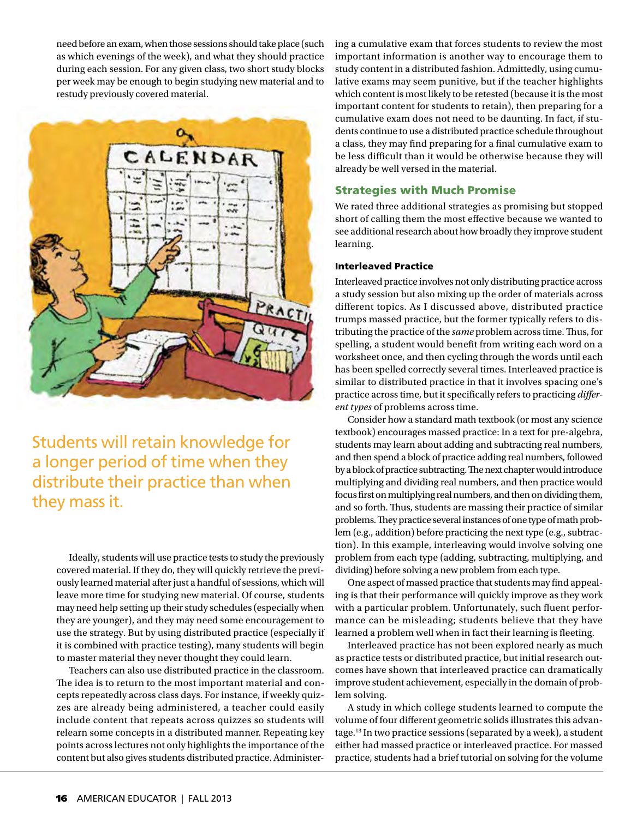need before an exam, when those sessions should take place (such as which evenings of the week), and what they should practice during each session. For any given class, two short study blocks per week may be enough to begin studying new material and to restudy previously covered material.



Students will retain knowledge for a longer period of time when they distribute their practice than when they mass it.

Ideally, students will use practice tests to study the previously covered material. If they do, they will quickly retrieve the previously learned material after just a handful of sessions, which will leave more time for studying new material. Of course, students may need help setting up their study schedules (especially when they are younger), and they may need some encouragement to use the strategy. But by using distributed practice (especially if it is combined with practice testing), many students will begin to master material they never thought they could learn.

Teachers can also use distributed practice in the classroom. The idea is to return to the most important material and concepts repeatedly across class days. For instance, if weekly quizzes are already being administered, a teacher could easily include content that repeats across quizzes so students will relearn some concepts in a distributed manner. Repeating key points across lectures not only highlights the importance of the content but also gives students distributed practice. Administering a cumulative exam that forces students to review the most important information is another way to encourage them to study content in a distributed fashion. Admittedly, using cumulative exams may seem punitive, but if the teacher highlights which content is most likely to be retested (because it is the most important content for students to retain), then preparing for a cumulative exam does not need to be daunting. In fact, if students continue to use a distributed practice schedule throughout a class, they may find preparing for a final cumulative exam to be less difficult than it would be otherwise because they will already be well versed in the material.

### Strategies with Much Promise

We rated three additional strategies as promising but stopped short of calling them the most effective because we wanted to see additional research about how broadly they improve student learning.

#### Interleaved Practice

Interleaved practice involves not only distributing practice across a study session but also mixing up the order of materials across different topics. As I discussed above, distributed practice trumps massed practice, but the former typically refers to distributing the practice of the *same* problem across time. Thus, for spelling, a student would benefit from writing each word on a worksheet once, and then cycling through the words until each has been spelled correctly several times. Interleaved practice is similar to distributed practice in that it involves spacing one's practice across time, but it specifically refers to practicing *different types* of problems across time.

Consider how a standard math textbook (or most any science textbook) encourages massed practice: In a text for pre-algebra, students may learn about adding and subtracting real numbers, and then spend a block of practice adding real numbers, followed by a block of practice subtracting. The next chapter would introduce multiplying and dividing real numbers, and then practice would focus first on multiplying real numbers, and then on dividing them, and so forth. Thus, students are massing their practice of similar problems. They practice several instances of one type of math problem (e.g., addition) before practicing the next type (e.g., subtraction). In this example, interleaving would involve solving one problem from each type (adding, subtracting, multiplying, and dividing) before solving a new problem from each type.

One aspect of massed practice that students may find appealing is that their performance will quickly improve as they work with a particular problem. Unfortunately, such fluent performance can be misleading; students believe that they have learned a problem well when in fact their learning is fleeting.

Interleaved practice has not been explored nearly as much as practice tests or distributed practice, but initial research outcomes have shown that interleaved practice can dramatically improve student achievement, especially in the domain of problem solving.

A study in which college students learned to compute the volume of four different geometric solids illustrates this advantage.13 In two practice sessions (separated by a week), a student either had massed practice or interleaved practice. For massed practice, students had a brief tutorial on solving for the volume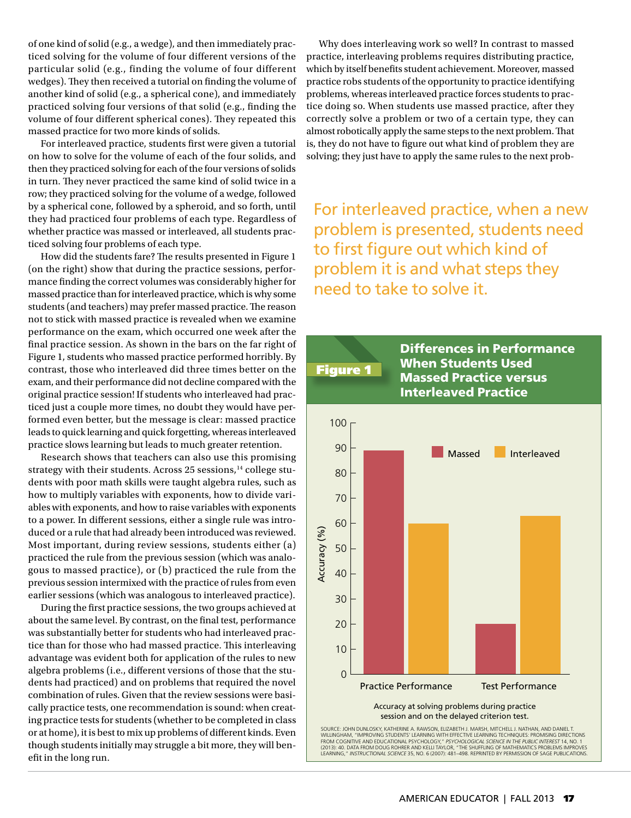of one kind of solid (e.g., a wedge), and then immediately practiced solving for the volume of four different versions of the particular solid (e.g., finding the volume of four different wedges). They then received a tutorial on finding the volume of another kind of solid (e.g., a spherical cone), and immediately practiced solving four versions of that solid (e.g., finding the volume of four different spherical cones). They repeated this massed practice for two more kinds of solids.

For interleaved practice, students first were given a tutorial on how to solve for the volume of each of the four solids, and then they practiced solving for each of the four versions of solids in turn. They never practiced the same kind of solid twice in a row; they practiced solving for the volume of a wedge, followed by a spherical cone, followed by a spheroid, and so forth, until they had practiced four problems of each type. Regardless of whether practice was massed or interleaved, all students practiced solving four problems of each type.

How did the students fare? The results presented in Figure 1 (on the right) show that during the practice sessions, performance finding the correct volumes was considerably higher for massed practice than for interleaved practice, which is why some students (and teachers) may prefer massed practice. The reason not to stick with massed practice is revealed when we examine performance on the exam, which occurred one week after the final practice session. As shown in the bars on the far right of Figure 1, students who massed practice performed horribly. By contrast, those who interleaved did three times better on the exam, and their performance did not decline compared with the original practice session! If students who interleaved had practiced just a couple more times, no doubt they would have performed even better, but the message is clear: massed practice leads to quick learning and quick forgetting, whereas interleaved practice slows learning but leads to much greater retention.

Research shows that teachers can also use this promising strategy with their students. Across 25 sessions,<sup>14</sup> college students with poor math skills were taught algebra rules, such as how to multiply variables with exponents, how to divide variables with exponents, and how to raise variables with exponents to a power. In different sessions, either a single rule was introduced or a rule that had already been introduced was reviewed. Most important, during review sessions, students either (a) practiced the rule from the previous session (which was analogous to massed practice), or (b) practiced the rule from the previous session intermixed with the practice of rules from even earlier sessions (which was analogous to interleaved practice).

During the first practice sessions, the two groups achieved at about the same level. By contrast, on the final test, performance was substantially better for students who had interleaved practice than for those who had massed practice. This interleaving advantage was evident both for application of the rules to new algebra problems (i.e., different versions of those that the students had practiced) and on problems that required the novel combination of rules. Given that the review sessions were basically practice tests, one recommendation is sound: when creating practice tests for students (whether to be completed in class or at home), it is best to mix up problems of different kinds. Even though students initially may struggle a bit more, they will benefit in the long run.

Why does interleaving work so well? In contrast to massed practice, interleaving problems requires distributing practice, which by itself benefits student achievement. Moreover, massed practice robs students of the opportunity to practice identifying problems, whereas interleaved practice forces students to practice doing so. When students use massed practice, after they correctly solve a problem or two of a certain type, they can almost robotically apply the same steps to the next problem. That is, they do not have to figure out what kind of problem they are solving; they just have to apply the same rules to the next prob-

For interleaved practice, when a new problem is presented, students need to first figure out which kind of problem it is and what steps they need to take to solve it.



WILLINGHAM, "IMPROVING STUDENTS' LEARNING WITH EFFECTIVE LEARNING TECHNIQUES: PROMISING DIRECTION:<br>FROM COGNITIVE AND EDUCATIONAL PSYCHOLOGY," *PSYCHOLOGICAL SCIENCE IN THE PUBLIC INTEREST* 14, NO. 1<br>(2013): 40. DATA FROM learning," *instructional science* 35, no. 6 (2007): 481–498. Reprinted by permission of SAGE Publications.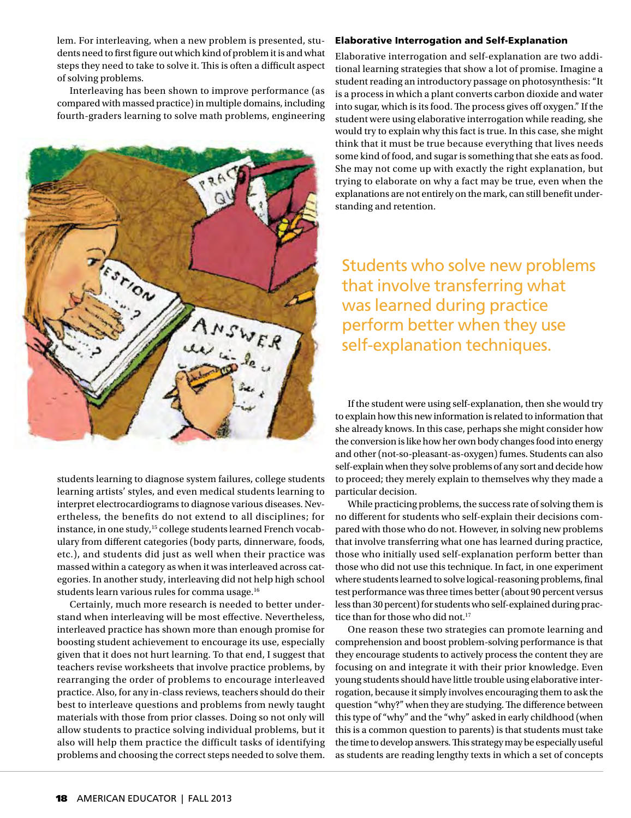lem. For interleaving, when a new problem is presented, students need to first figure out which kind of problem it is and what steps they need to take to solve it. This is often a difficult aspect of solving problems.

Interleaving has been shown to improve performance (as compared with massed practice) in multiple domains, including fourth-graders learning to solve math problems, engineering



students learning to diagnose system failures, college students learning artists' styles, and even medical students learning to interpret electrocardiograms to diagnose various diseases. Nevertheless, the benefits do not extend to all disciplines; for instance, in one study,<sup>15</sup> college students learned French vocabulary from different categories (body parts, dinnerware, foods, etc.), and students did just as well when their practice was massed within a category as when it was interleaved across categories. In another study, interleaving did not help high school students learn various rules for comma usage.<sup>16</sup>

Certainly, much more research is needed to better understand when interleaving will be most effective. Nevertheless, interleaved practice has shown more than enough promise for boosting student achievement to encourage its use, especially given that it does not hurt learning. To that end, I suggest that teachers revise worksheets that involve practice problems, by rearranging the order of problems to encourage interleaved practice. Also, for any in-class reviews, teachers should do their best to interleave questions and problems from newly taught materials with those from prior classes. Doing so not only will allow students to practice solving individual problems, but it also will help them practice the difficult tasks of identifying problems and choosing the correct steps needed to solve them.

#### Elaborative Interrogation and Self-Explanation

Elaborative interrogation and self-explanation are two additional learning strategies that show a lot of promise. Imagine a student reading an introductory passage on photosynthesis: "It is a process in which a plant converts carbon dioxide and water into sugar, which is its food. The process gives off oxygen." If the student were using elaborative interrogation while reading, she would try to explain why this fact is true. In this case, she might think that it must be true because everything that lives needs some kind of food, and sugar is something that she eats as food. She may not come up with exactly the right explanation, but trying to elaborate on why a fact may be true, even when the explanations are not entirely on the mark, can still benefit understanding and retention.

Students who solve new problems that involve transferring what was learned during practice perform better when they use self-explanation techniques.

If the student were using self-explanation, then she would try to explain how this new information is related to information that she already knows. In this case, perhaps she might consider how the conversion is like how her own body changes food into energy and other (not-so-pleasant-as-oxygen) fumes. Students can also self-explain when they solve problems of any sort and decide how to proceed; they merely explain to themselves why they made a particular decision.

While practicing problems, the success rate of solving them is no different for students who self-explain their decisions compared with those who do not. However, in solving new problems that involve transferring what one has learned during practice, those who initially used self-explanation perform better than those who did not use this technique. In fact, in one experiment where students learned to solve logical-reasoning problems, final test performance was three times better (about 90 percent versus less than 30 percent) for students who self-explained during practice than for those who did not.<sup>17</sup>

One reason these two strategies can promote learning and comprehension and boost problem-solving performance is that they encourage students to actively process the content they are focusing on and integrate it with their prior knowledge. Even young students should have little trouble using elaborative interrogation, because it simply involves encouraging them to ask the question "why?" when they are studying. The difference between this type of "why" and the "why" asked in early childhood (when this is a common question to parents) is that students must take the time to develop answers. This strategy may be especially useful as students are reading lengthy texts in which a set of concepts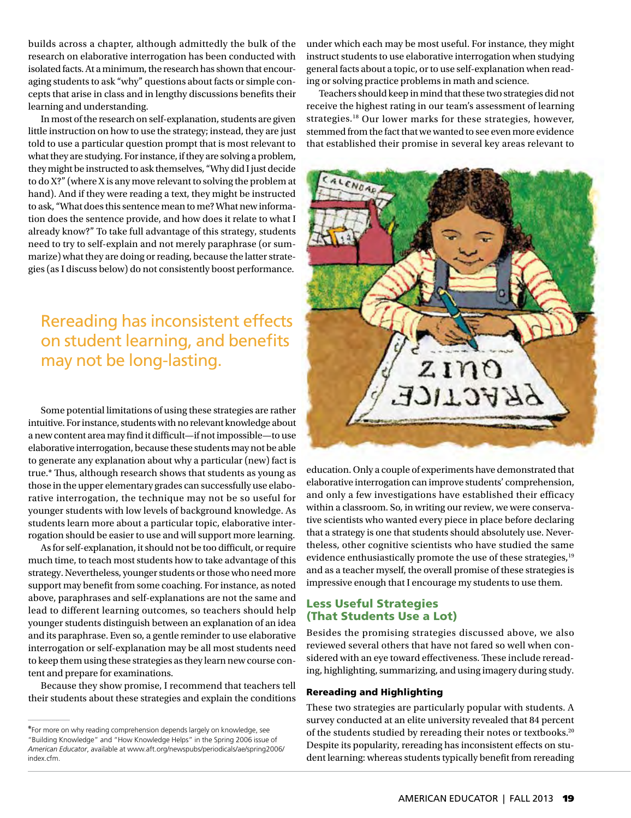builds across a chapter, although admittedly the bulk of the research on elaborative interrogation has been conducted with isolated facts. At a minimum, the research has shown that encouraging students to ask "why" questions about facts or simple concepts that arise in class and in lengthy discussions benefits their learning and understanding.

In most of the research on self-explanation, students are given little instruction on how to use the strategy; instead, they are just told to use a particular question prompt that is most relevant to what they are studying. For instance, if they are solving a problem, they might be instructed to ask themselves, "Why did I just decide to do X?" (where X is any move relevant to solving the problem at hand). And if they were reading a text, they might be instructed to ask, "What does this sentence mean to me? What new information does the sentence provide, and how does it relate to what I already know?" To take full advantage of this strategy, students need to try to self-explain and not merely paraphrase (or summarize) what they are doing or reading, because the latter strategies (as I discuss below) do not consistently boost performance.

Rereading has inconsistent effects on student learning, and benefits may not be long-lasting.

Some potential limitations of using these strategies are rather intuitive. For instance, students with no relevant knowledge about a new content area may find it difficult—if not impossible—to use elaborative interrogation, because these students may not be able to generate any explanation about why a particular (new) fact is true.\* Thus, although research shows that students as young as those in the upper elementary grades can successfully use elaborative interrogation, the technique may not be so useful for younger students with low levels of background knowledge. As students learn more about a particular topic, elaborative interrogation should be easier to use and will support more learning.

As for self-explanation, it should not be too difficult, or require much time, to teach most students how to take advantage of this strategy. Nevertheless, younger students or those who need more support may benefit from some coaching. For instance, as noted above, paraphrases and self-explanations are not the same and lead to different learning outcomes, so teachers should help younger students distinguish between an explanation of an idea and its paraphrase. Even so, a gentle reminder to use elaborative interrogation or self-explanation may be all most students need to keep them using these strategies as they learn new course content and prepare for examinations.

Because they show promise, I recommend that teachers tell their students about these strategies and explain the conditions under which each may be most useful. For instance, they might instruct students to use elaborative interrogation when studying general facts about a topic, or to use self-explanation when reading or solving practice problems in math and science.

Teachers should keep in mind that these two strategies did not receive the highest rating in our team's assessment of learning strategies.18 Our lower marks for these strategies, however, stemmed from the fact that we wanted to see even more evidence that established their promise in several key areas relevant to



education. Only a couple of experiments have demonstrated that elaborative interrogation can improve students' comprehension, and only a few investigations have established their efficacy within a classroom. So, in writing our review, we were conservative scientists who wanted every piece in place before declaring that a strategy is one that students should absolutely use. Nevertheless, other cognitive scientists who have studied the same evidence enthusiastically promote the use of these strategies,<sup>19</sup> and as a teacher myself, the overall promise of these strategies is impressive enough that I encourage my students to use them.

## Less Useful Strategies (That Students Use a Lot)

Besides the promising strategies discussed above, we also reviewed several others that have not fared so well when considered with an eye toward effectiveness. These include rereading, highlighting, summarizing, and using imagery during study.

#### Rereading and Highlighting

These two strategies are particularly popular with students. A survey conducted at an elite university revealed that 84 percent of the students studied by rereading their notes or textbooks.20 Despite its popularity, rereading has inconsistent effects on student learning: whereas students typically benefit from rereading

<sup>\*</sup>For more on why reading comprehension depends largely on knowledge, see "Building Knowledge" and "How Knowledge Helps" in the Spring 2006 issue of *American Educator*[, available at www.aft.org/newspubs/periodicals/ae/spring2006/](www.aft.org/newspubs/periodicals/ae/spring2006/index.cfm) index.cfm.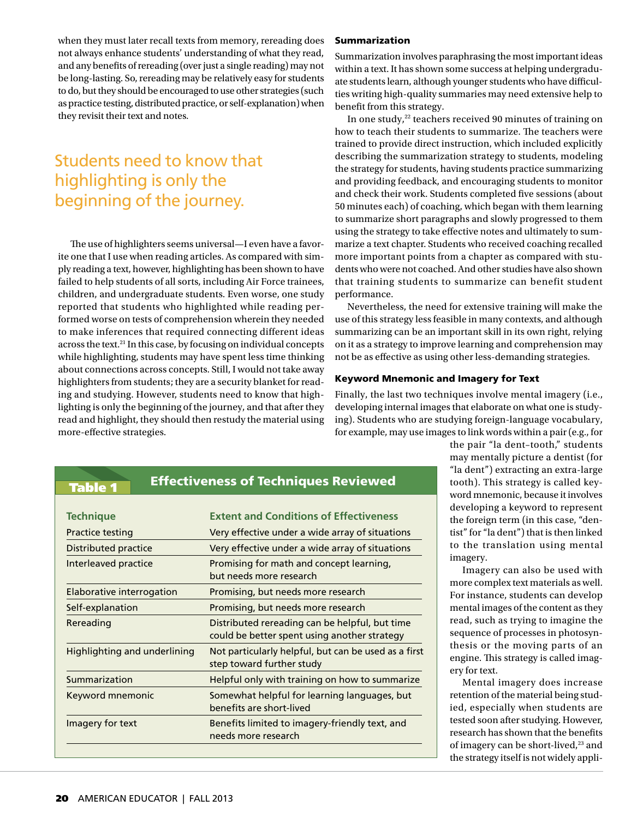when they must later recall texts from memory, rereading does not always enhance students' understanding of what they read, and any benefits of rereading (over just a single reading) may not be long-lasting. So, rereading may be relatively easy for students to do, but they should be encouraged to use other strategies (such as practice testing, distributed practice, or self-explanation) when they revisit their text and notes.

# Students need to know that highlighting is only the beginning of the journey.

The use of highlighters seems universal—I even have a favorite one that I use when reading articles. As compared with simply reading a text, however, highlighting has been shown to have failed to help students of all sorts, including Air Force trainees, children, and undergraduate students. Even worse, one study reported that students who highlighted while reading performed worse on tests of comprehension wherein they needed to make inferences that required connecting different ideas across the text.21 In this case, by focusing on individual concepts while highlighting, students may have spent less time thinking about connections across concepts. Still, I would not take away highlighters from students; they are a security blanket for reading and studying. However, students need to know that highlighting is only the beginning of the journey, and that after they read and highlight, they should then restudy the material using more-effective strategies.

#### Summarization

Summarization involves paraphrasing the most important ideas within a text. It has shown some success at helping undergraduate students learn, although younger students who have difficulties writing high-quality summaries may need extensive help to benefit from this strategy.

In one study,<sup>22</sup> teachers received 90 minutes of training on how to teach their students to summarize. The teachers were trained to provide direct instruction, which included explicitly describing the summarization strategy to students, modeling the strategy for students, having students practice summarizing and providing feedback, and encouraging students to monitor and check their work. Students completed five sessions (about 50 minutes each) of coaching, which began with them learning to summarize short paragraphs and slowly progressed to them using the strategy to take effective notes and ultimately to summarize a text chapter. Students who received coaching recalled more important points from a chapter as compared with students who were not coached. And other studies have also shown that training students to summarize can benefit student performance.

Nevertheless, the need for extensive training will make the use of this strategy less feasible in many contexts, and although summarizing can be an important skill in its own right, relying on it as a strategy to improve learning and comprehension may not be as effective as using other less-demanding strategies.

#### Keyword Mnemonic and Imagery for Text

Finally, the last two techniques involve mental imagery (i.e., developing internal images that elaborate on what one is studying). Students who are studying foreign-language vocabulary, for example, may use images to link words within a pair (e.g., for

## Table 1

## Effectiveness of Techniques Reviewed

| <b>Technique</b>             | <b>Extent and Conditions of Effectiveness</b>                                                  |
|------------------------------|------------------------------------------------------------------------------------------------|
| <b>Practice testing</b>      | Very effective under a wide array of situations                                                |
| Distributed practice         | Very effective under a wide array of situations                                                |
| Interleaved practice         | Promising for math and concept learning,<br>but needs more research                            |
| Elaborative interrogation    | Promising, but needs more research                                                             |
| Self-explanation             | Promising, but needs more research                                                             |
| Rereading                    | Distributed rereading can be helpful, but time<br>could be better spent using another strategy |
| Highlighting and underlining | Not particularly helpful, but can be used as a first<br>step toward further study              |
| Summarization                | Helpful only with training on how to summarize                                                 |
| Keyword mnemonic             | Somewhat helpful for learning languages, but<br>benefits are short-lived                       |
| Imagery for text             | Benefits limited to imagery-friendly text, and<br>needs more research                          |

the pair "la dent–tooth," students may mentally picture a dentist (for "la dent") extracting an extra-large tooth). This strategy is called keyword mnemonic, because it involves developing a keyword to represent the foreign term (in this case, "dentist" for "la dent") that is then linked to the translation using mental imagery.

Imagery can also be used with more complex text materials as well. For instance, students can develop mental images of the content as they read, such as trying to imagine the sequence of processes in photosynthesis or the moving parts of an engine. This strategy is called imagery for text.

Mental imagery does increase retention of the material being studied, especially when students are tested soon after studying. However, research has shown that the benefits of imagery can be short-lived,<sup>23</sup> and the strategy itself is not widely appli